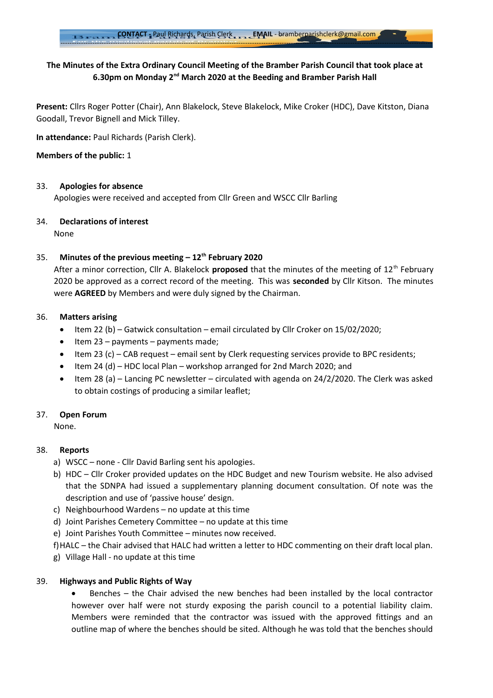# **The Minutes of the Extra Ordinary Council Meeting of the Bramber Parish Council that took place at 6.30pm on Monday 2nd March 2020 at the Beeding and Bramber Parish Hall**

**Present:** Cllrs Roger Potter (Chair), Ann Blakelock, Steve Blakelock, Mike Croker (HDC), Dave Kitston, Diana Goodall, Trevor Bignell and Mick Tilley.

**In attendance:** Paul Richards (Parish Clerk).

## **Members of the public:** 1

## 33. **Apologies for absence**

Apologies were received and accepted from Cllr Green and WSCC Cllr Barling

## 34. **Declarations of interest**

None

## 35. **Minutes of the previous meeting – 12th February 2020**

After a minor correction, Cllr A. Blakelock **proposed** that the minutes of the meeting of 12<sup>th</sup> February 2020 be approved as a correct record of the meeting. This was **seconded** by Cllr Kitson. The minutes were **AGREED** by Members and were duly signed by the Chairman.

## 36. **Matters arising**

- Item 22 (b) Gatwick consultation email circulated by Cllr Croker on 15/02/2020;
- $\bullet$  Item 23 payments payments made;
- Item 23 (c) CAB request email sent by Clerk requesting services provide to BPC residents;
- $\bullet$  Item 24 (d) HDC local Plan workshop arranged for 2nd March 2020; and
- Item 28 (a) Lancing PC newsletter circulated with agenda on 24/2/2020. The Clerk was asked to obtain costings of producing a similar leaflet;

## 37. **Open Forum**

None.

## 38. **Reports**

- a) WSCC none Cllr David Barling sent his apologies.
- b) HDC Cllr Croker provided updates on the HDC Budget and new Tourism website. He also advised that the SDNPA had issued a supplementary planning document consultation. Of note was the description and use of 'passive house' design.
- c) Neighbourhood Wardens no update at this time
- d) Joint Parishes Cemetery Committee no update at this time
- e) Joint Parishes Youth Committee minutes now received.
- f)HALC the Chair advised that HALC had written a letter to HDC commenting on their draft local plan.
- g) Village Hall no update at this time

## 39. **Highways and Public Rights of Way**

 Benches – the Chair advised the new benches had been installed by the local contractor however over half were not sturdy exposing the parish council to a potential liability claim. Members were reminded that the contractor was issued with the approved fittings and an outline map of where the benches should be sited. Although he was told that the benches should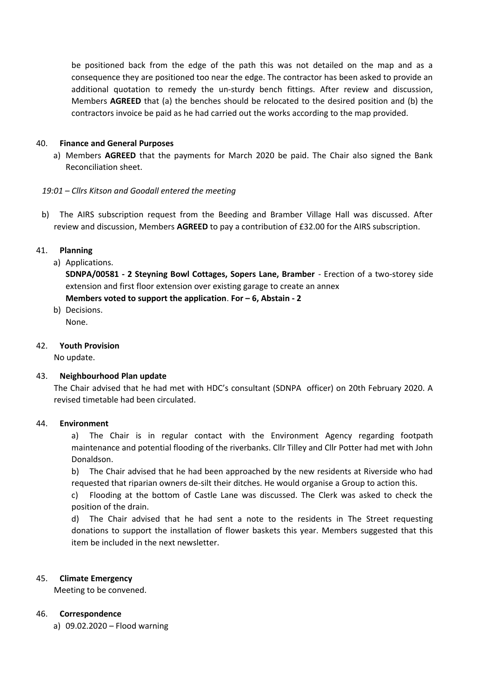be positioned back from the edge of the path this was not detailed on the map and as a consequence they are positioned too near the edge. The contractor has been asked to provide an additional quotation to remedy the un-sturdy bench fittings. After review and discussion, Members **AGREED** that (a) the benches should be relocated to the desired position and (b) the contractors invoice be paid as he had carried out the works according to the map provided.

## 40. **Finance and General Purposes**

a) Members **AGREED** that the payments for March 2020 be paid. The Chair also signed the Bank Reconciliation sheet.

## *19:01 – Cllrs Kitson and Goodall entered the meeting*

b) The AIRS subscription request from the Beeding and Bramber Village Hall was discussed. After review and discussion, Members **AGREED** to pay a contribution of £32.00 for the AIRS subscription.

## 41. **Planning**

a) Applications.

**SDNPA/00581 - 2 Steyning Bowl Cottages, Sopers Lane, Bramber** - Erection of a two-storey side extension and first floor extension over existing garage to create an annex **Members voted to support the application**. **For – 6, Abstain - 2**

b) Decisions.

None.

## 42. **Youth Provision**

No update.

## 43. **Neighbourhood Plan update**

The Chair advised that he had met with HDC's consultant (SDNPA officer) on 20th February 2020. A revised timetable had been circulated.

## 44. **Environment**

a) The Chair is in regular contact with the Environment Agency regarding footpath maintenance and potential flooding of the riverbanks. Cllr Tilley and Cllr Potter had met with John Donaldson.

b) The Chair advised that he had been approached by the new residents at Riverside who had requested that riparian owners de-silt their ditches. He would organise a Group to action this.

c) Flooding at the bottom of Castle Lane was discussed. The Clerk was asked to check the position of the drain.

d) The Chair advised that he had sent a note to the residents in The Street requesting donations to support the installation of flower baskets this year. Members suggested that this item be included in the next newsletter.

## 45. **Climate Emergency**

Meeting to be convened.

## 46. **Correspondence**

a) 09.02.2020 – Flood warning